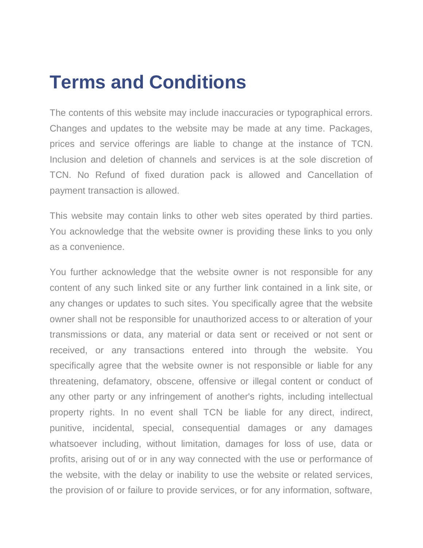## **Terms and Conditions**

The contents of this website may include inaccuracies or typographical errors. Changes and updates to the website may be made at any time. Packages, prices and service offerings are liable to change at the instance of TCN. Inclusion and deletion of channels and services is at the sole discretion of TCN. No Refund of fixed duration pack is allowed and Cancellation of payment transaction is allowed.

This website may contain links to other web sites operated by third parties. You acknowledge that the website owner is providing these links to you only as a convenience.

You further acknowledge that the website owner is not responsible for any content of any such linked site or any further link contained in a link site, or any changes or updates to such sites. You specifically agree that the website owner shall not be responsible for unauthorized access to or alteration of your transmissions or data, any material or data sent or received or not sent or received, or any transactions entered into through the website. You specifically agree that the website owner is not responsible or liable for any threatening, defamatory, obscene, offensive or illegal content or conduct of any other party or any infringement of another's rights, including intellectual property rights. In no event shall TCN be liable for any direct, indirect, punitive, incidental, special, consequential damages or any damages whatsoever including, without limitation, damages for loss of use, data or profits, arising out of or in any way connected with the use or performance of the website, with the delay or inability to use the website or related services, the provision of or failure to provide services, or for any information, software,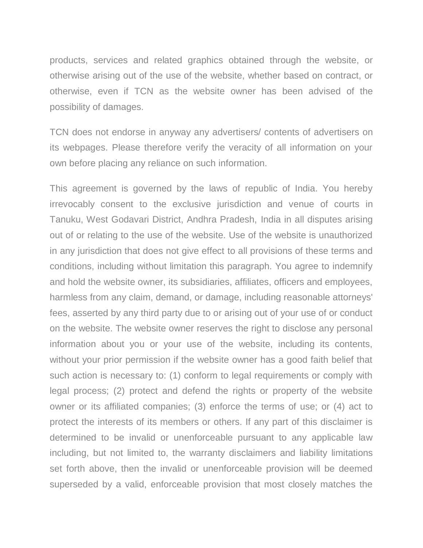products, services and related graphics obtained through the website, or otherwise arising out of the use of the website, whether based on contract, or otherwise, even if TCN as the website owner has been advised of the possibility of damages.

TCN does not endorse in anyway any advertisers/ contents of advertisers on its webpages. Please therefore verify the veracity of all information on your own before placing any reliance on such information.

This agreement is governed by the laws of republic of India. You hereby irrevocably consent to the exclusive jurisdiction and venue of courts in Tanuku, West Godavari District, Andhra Pradesh, India in all disputes arising out of or relating to the use of the website. Use of the website is unauthorized in any jurisdiction that does not give effect to all provisions of these terms and conditions, including without limitation this paragraph. You agree to indemnify and hold the website owner, its subsidiaries, affiliates, officers and employees, harmless from any claim, demand, or damage, including reasonable attorneys' fees, asserted by any third party due to or arising out of your use of or conduct on the website. The website owner reserves the right to disclose any personal information about you or your use of the website, including its contents, without your prior permission if the website owner has a good faith belief that such action is necessary to: (1) conform to legal requirements or comply with legal process; (2) protect and defend the rights or property of the website owner or its affiliated companies; (3) enforce the terms of use; or (4) act to protect the interests of its members or others. If any part of this disclaimer is determined to be invalid or unenforceable pursuant to any applicable law including, but not limited to, the warranty disclaimers and liability limitations set forth above, then the invalid or unenforceable provision will be deemed superseded by a valid, enforceable provision that most closely matches the